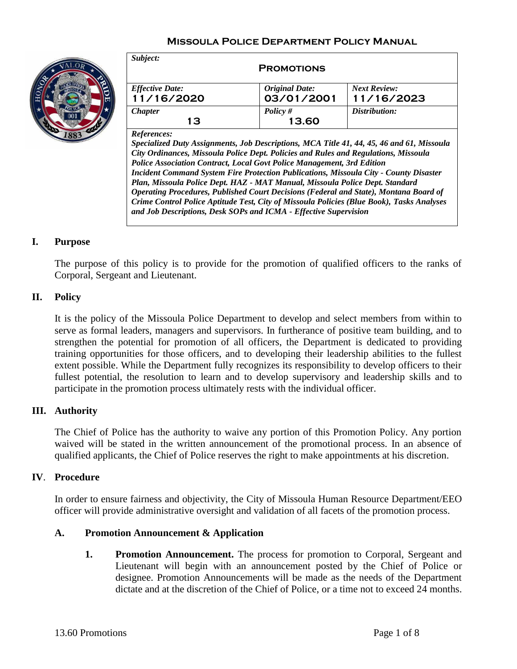## **Missoula Police Department Policy Manual**



| Subject:<br><b>PROMOTIONS</b>        |                                     |                                   |
|--------------------------------------|-------------------------------------|-----------------------------------|
| <b>Effective Date:</b><br>11/16/2020 | <b>Original Date:</b><br>03/01/2001 | <b>Next Review:</b><br>11/16/2023 |
| <b>Chapter</b><br>13                 | Policy $#$<br>13.60                 | Distribution:                     |
| $\mathbf{D}$ of $\mathbf{L}$         |                                     |                                   |

*References:*

*Specialized Duty Assignments, Job Descriptions, MCA Title 41, 44, 45, 46 and 61, Missoula City Ordinances, Missoula Police Dept. Policies and Rules and Regulations, Missoula Police Association Contract, Local Govt Police Management, 3rd Edition Incident Command System Fire Protection Publications, Missoula City - County Disaster Plan, Missoula Police Dept. HAZ - MAT Manual, Missoula Police Dept. Standard Operating Procedures, Published Court Decisions (Federal and State), Montana Board of Crime Control Police Aptitude Test, City of Missoula Policies (Blue Book), Tasks Analyses and Job Descriptions, Desk SOPs and ICMA - Effective Supervision*

#### **I. Purpose**

The purpose of this policy is to provide for the promotion of qualified officers to the ranks of Corporal, Sergeant and Lieutenant.

#### **II. Policy**

It is the policy of the Missoula Police Department to develop and select members from within to serve as formal leaders, managers and supervisors. In furtherance of positive team building, and to strengthen the potential for promotion of all officers, the Department is dedicated to providing training opportunities for those officers, and to developing their leadership abilities to the fullest extent possible. While the Department fully recognizes its responsibility to develop officers to their fullest potential, the resolution to learn and to develop supervisory and leadership skills and to participate in the promotion process ultimately rests with the individual officer.

#### **III. Authority**

The Chief of Police has the authority to waive any portion of this Promotion Policy. Any portion waived will be stated in the written announcement of the promotional process. In an absence of qualified applicants, the Chief of Police reserves the right to make appointments at his discretion.

#### **IV**. **Procedure**

In order to ensure fairness and objectivity, the City of Missoula Human Resource Department/EEO officer will provide administrative oversight and validation of all facets of the promotion process.

#### **A. Promotion Announcement & Application**

**1. Promotion Announcement.** The process for promotion to Corporal, Sergeant and Lieutenant will begin with an announcement posted by the Chief of Police or designee. Promotion Announcements will be made as the needs of the Department dictate and at the discretion of the Chief of Police, or a time not to exceed 24 months.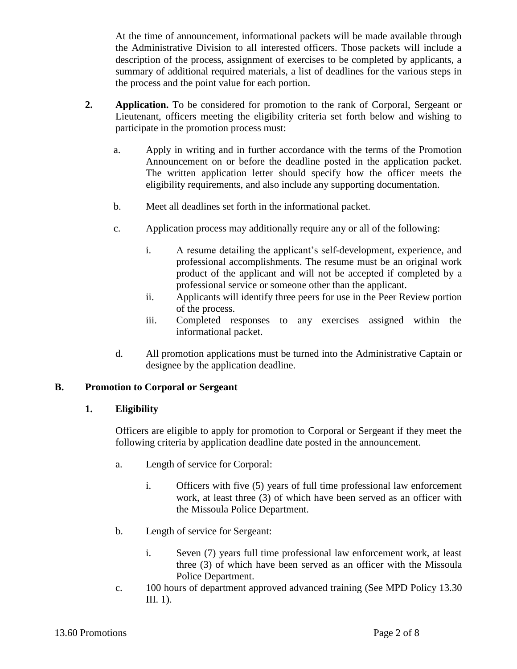At the time of announcement, informational packets will be made available through the Administrative Division to all interested officers. Those packets will include a description of the process, assignment of exercises to be completed by applicants, a summary of additional required materials, a list of deadlines for the various steps in the process and the point value for each portion.

- **2. Application.** To be considered for promotion to the rank of Corporal, Sergeant or Lieutenant, officers meeting the eligibility criteria set forth below and wishing to participate in the promotion process must:
	- a. Apply in writing and in further accordance with the terms of the Promotion Announcement on or before the deadline posted in the application packet. The written application letter should specify how the officer meets the eligibility requirements, and also include any supporting documentation.
	- b. Meet all deadlines set forth in the informational packet.
	- c. Application process may additionally require any or all of the following:
		- i. A resume detailing the applicant's self-development, experience, and professional accomplishments. The resume must be an original work product of the applicant and will not be accepted if completed by a professional service or someone other than the applicant.
		- ii. Applicants will identify three peers for use in the Peer Review portion of the process.
		- iii. Completed responses to any exercises assigned within the informational packet.
	- d. All promotion applications must be turned into the Administrative Captain or designee by the application deadline.

## **B. Promotion to Corporal or Sergeant**

## **1. Eligibility**

Officers are eligible to apply for promotion to Corporal or Sergeant if they meet the following criteria by application deadline date posted in the announcement.

- a. Length of service for Corporal:
	- i. Officers with five (5) years of full time professional law enforcement work, at least three (3) of which have been served as an officer with the Missoula Police Department.
- b. Length of service for Sergeant:
	- i. Seven (7) years full time professional law enforcement work, at least three (3) of which have been served as an officer with the Missoula Police Department.
- c. 100 hours of department approved advanced training (See MPD Policy 13.30 III. 1).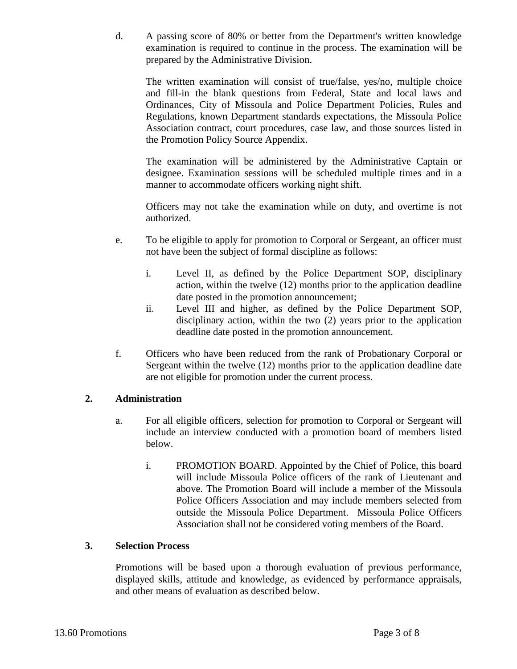d. A passing score of 80% or better from the Department's written knowledge examination is required to continue in the process. The examination will be prepared by the Administrative Division.

The written examination will consist of true/false, yes/no, multiple choice and fill-in the blank questions from Federal, State and local laws and Ordinances, City of Missoula and Police Department Policies, Rules and Regulations, known Department standards expectations, the Missoula Police Association contract, court procedures, case law, and those sources listed in the Promotion Policy Source Appendix.

The examination will be administered by the Administrative Captain or designee. Examination sessions will be scheduled multiple times and in a manner to accommodate officers working night shift.

Officers may not take the examination while on duty, and overtime is not authorized.

- e. To be eligible to apply for promotion to Corporal or Sergeant, an officer must not have been the subject of formal discipline as follows:
	- i. Level II, as defined by the Police Department SOP, disciplinary action, within the twelve (12) months prior to the application deadline date posted in the promotion announcement;
	- ii. Level III and higher, as defined by the Police Department SOP, disciplinary action, within the two (2) years prior to the application deadline date posted in the promotion announcement.
- f. Officers who have been reduced from the rank of Probationary Corporal or Sergeant within the twelve (12) months prior to the application deadline date are not eligible for promotion under the current process.

## **2. Administration**

- a. For all eligible officers, selection for promotion to Corporal or Sergeant will include an interview conducted with a promotion board of members listed below.
	- i. PROMOTION BOARD. Appointed by the Chief of Police, this board will include Missoula Police officers of the rank of Lieutenant and above. The Promotion Board will include a member of the Missoula Police Officers Association and may include members selected from outside the Missoula Police Department. Missoula Police Officers Association shall not be considered voting members of the Board.

## **3. Selection Process**

Promotions will be based upon a thorough evaluation of previous performance, displayed skills, attitude and knowledge, as evidenced by performance appraisals, and other means of evaluation as described below.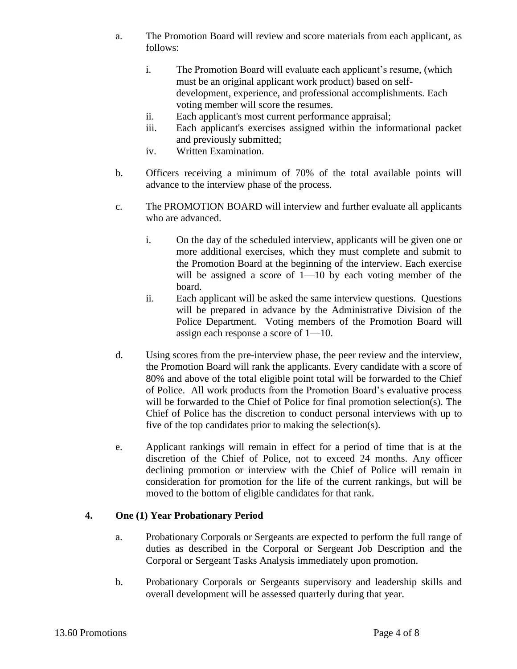- a. The Promotion Board will review and score materials from each applicant, as follows:
	- i. The Promotion Board will evaluate each applicant's resume, (which must be an original applicant work product) based on selfdevelopment, experience, and professional accomplishments. Each voting member will score the resumes.
	- ii. Each applicant's most current performance appraisal;
	- iii. Each applicant's exercises assigned within the informational packet and previously submitted;
	- iv. Written Examination.
- b. Officers receiving a minimum of 70% of the total available points will advance to the interview phase of the process.
- c. The PROMOTION BOARD will interview and further evaluate all applicants who are advanced.
	- i. On the day of the scheduled interview, applicants will be given one or more additional exercises, which they must complete and submit to the Promotion Board at the beginning of the interview. Each exercise will be assigned a score of  $1$ —10 by each voting member of the board.
	- ii. Each applicant will be asked the same interview questions. Questions will be prepared in advance by the Administrative Division of the Police Department. Voting members of the Promotion Board will assign each response a score of 1—10.
- d. Using scores from the pre-interview phase, the peer review and the interview, the Promotion Board will rank the applicants. Every candidate with a score of 80% and above of the total eligible point total will be forwarded to the Chief of Police. All work products from the Promotion Board's evaluative process will be forwarded to the Chief of Police for final promotion selection(s). The Chief of Police has the discretion to conduct personal interviews with up to five of the top candidates prior to making the selection(s).
- e. Applicant rankings will remain in effect for a period of time that is at the discretion of the Chief of Police, not to exceed 24 months. Any officer declining promotion or interview with the Chief of Police will remain in consideration for promotion for the life of the current rankings, but will be moved to the bottom of eligible candidates for that rank.

# **4. One (1) Year Probationary Period**

- a. Probationary Corporals or Sergeants are expected to perform the full range of duties as described in the Corporal or Sergeant Job Description and the Corporal or Sergeant Tasks Analysis immediately upon promotion.
- b. Probationary Corporals or Sergeants supervisory and leadership skills and overall development will be assessed quarterly during that year.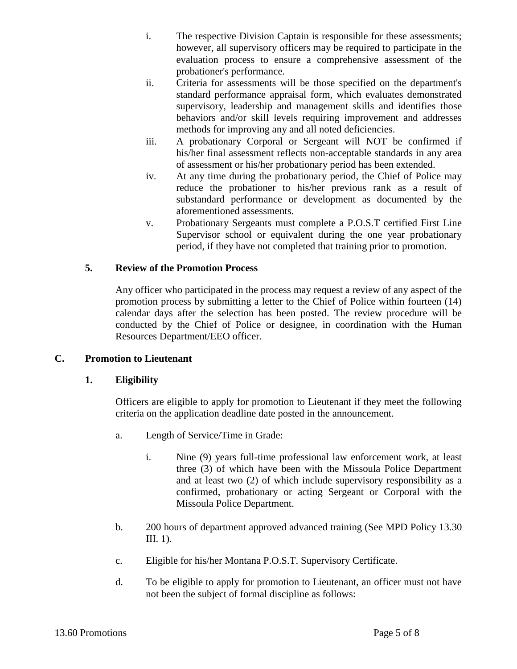- i. The respective Division Captain is responsible for these assessments; however, all supervisory officers may be required to participate in the evaluation process to ensure a comprehensive assessment of the probationer's performance.
- ii. Criteria for assessments will be those specified on the department's standard performance appraisal form, which evaluates demonstrated supervisory, leadership and management skills and identifies those behaviors and/or skill levels requiring improvement and addresses methods for improving any and all noted deficiencies.
- iii. A probationary Corporal or Sergeant will NOT be confirmed if his/her final assessment reflects non-acceptable standards in any area of assessment or his/her probationary period has been extended.
- iv. At any time during the probationary period, the Chief of Police may reduce the probationer to his/her previous rank as a result of substandard performance or development as documented by the aforementioned assessments.
- v. Probationary Sergeants must complete a P.O.S.T certified First Line Supervisor school or equivalent during the one year probationary period, if they have not completed that training prior to promotion.

## **5. Review of the Promotion Process**

Any officer who participated in the process may request a review of any aspect of the promotion process by submitting a letter to the Chief of Police within fourteen (14) calendar days after the selection has been posted. The review procedure will be conducted by the Chief of Police or designee, in coordination with the Human Resources Department/EEO officer.

## **C. Promotion to Lieutenant**

## **1. Eligibility**

Officers are eligible to apply for promotion to Lieutenant if they meet the following criteria on the application deadline date posted in the announcement.

- a. Length of Service/Time in Grade:
	- i. Nine (9) years full-time professional law enforcement work, at least three (3) of which have been with the Missoula Police Department and at least two (2) of which include supervisory responsibility as a confirmed, probationary or acting Sergeant or Corporal with the Missoula Police Department.
- b. 200 hours of department approved advanced training (See MPD Policy 13.30 III. 1).
- c. Eligible for his/her Montana P.O.S.T. Supervisory Certificate.
- d. To be eligible to apply for promotion to Lieutenant, an officer must not have not been the subject of formal discipline as follows: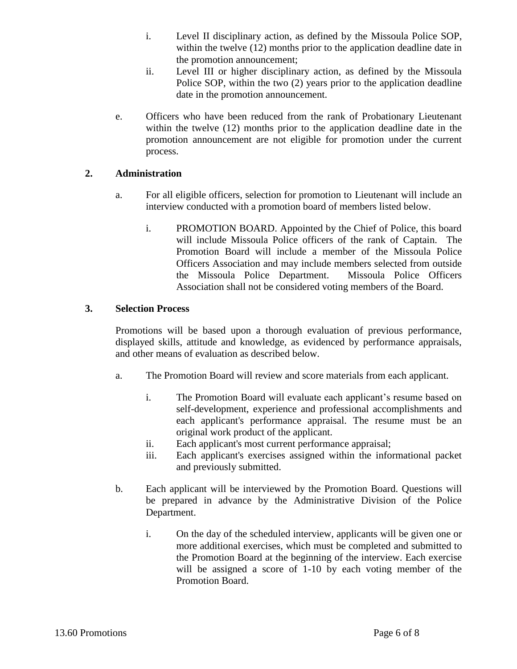- i. Level II disciplinary action, as defined by the Missoula Police SOP, within the twelve (12) months prior to the application deadline date in the promotion announcement;
- ii. Level III or higher disciplinary action, as defined by the Missoula Police SOP, within the two (2) years prior to the application deadline date in the promotion announcement.
- e. Officers who have been reduced from the rank of Probationary Lieutenant within the twelve (12) months prior to the application deadline date in the promotion announcement are not eligible for promotion under the current process.

#### **2. Administration**

- a. For all eligible officers, selection for promotion to Lieutenant will include an interview conducted with a promotion board of members listed below.
	- i. PROMOTION BOARD. Appointed by the Chief of Police, this board will include Missoula Police officers of the rank of Captain. The Promotion Board will include a member of the Missoula Police Officers Association and may include members selected from outside the Missoula Police Department. Missoula Police Officers Association shall not be considered voting members of the Board.

#### **3. Selection Process**

Promotions will be based upon a thorough evaluation of previous performance, displayed skills, attitude and knowledge, as evidenced by performance appraisals, and other means of evaluation as described below.

- a. The Promotion Board will review and score materials from each applicant.
	- i. The Promotion Board will evaluate each applicant's resume based on self-development, experience and professional accomplishments and each applicant's performance appraisal. The resume must be an original work product of the applicant.
	- ii. Each applicant's most current performance appraisal;
	- iii. Each applicant's exercises assigned within the informational packet and previously submitted.
- b. Each applicant will be interviewed by the Promotion Board. Questions will be prepared in advance by the Administrative Division of the Police Department.
	- i. On the day of the scheduled interview, applicants will be given one or more additional exercises, which must be completed and submitted to the Promotion Board at the beginning of the interview. Each exercise will be assigned a score of 1-10 by each voting member of the Promotion Board.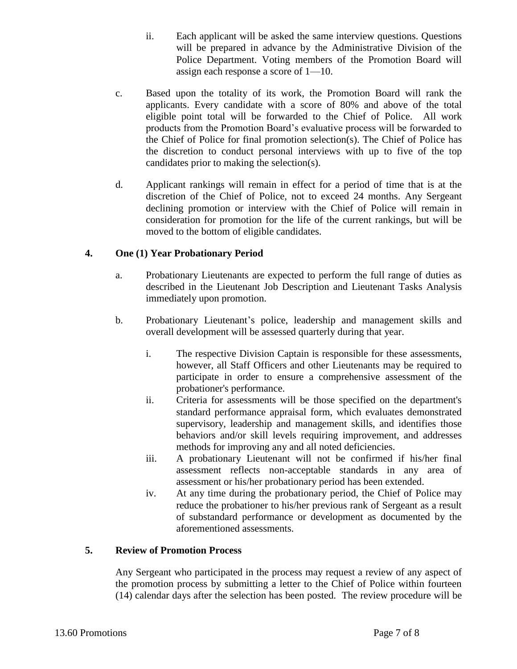- ii. Each applicant will be asked the same interview questions. Questions will be prepared in advance by the Administrative Division of the Police Department. Voting members of the Promotion Board will assign each response a score of 1—10.
- c. Based upon the totality of its work, the Promotion Board will rank the applicants. Every candidate with a score of 80% and above of the total eligible point total will be forwarded to the Chief of Police. All work products from the Promotion Board's evaluative process will be forwarded to the Chief of Police for final promotion selection(s). The Chief of Police has the discretion to conduct personal interviews with up to five of the top candidates prior to making the selection(s).
- d. Applicant rankings will remain in effect for a period of time that is at the discretion of the Chief of Police, not to exceed 24 months. Any Sergeant declining promotion or interview with the Chief of Police will remain in consideration for promotion for the life of the current rankings, but will be moved to the bottom of eligible candidates.

# **4. One (1) Year Probationary Period**

- a. Probationary Lieutenants are expected to perform the full range of duties as described in the Lieutenant Job Description and Lieutenant Tasks Analysis immediately upon promotion.
- b. Probationary Lieutenant's police, leadership and management skills and overall development will be assessed quarterly during that year.
	- i. The respective Division Captain is responsible for these assessments, however, all Staff Officers and other Lieutenants may be required to participate in order to ensure a comprehensive assessment of the probationer's performance.
	- ii. Criteria for assessments will be those specified on the department's standard performance appraisal form, which evaluates demonstrated supervisory, leadership and management skills, and identifies those behaviors and/or skill levels requiring improvement, and addresses methods for improving any and all noted deficiencies.
	- iii. A probationary Lieutenant will not be confirmed if his/her final assessment reflects non-acceptable standards in any area of assessment or his/her probationary period has been extended.
	- iv. At any time during the probationary period, the Chief of Police may reduce the probationer to his/her previous rank of Sergeant as a result of substandard performance or development as documented by the aforementioned assessments.

## **5. Review of Promotion Process**

Any Sergeant who participated in the process may request a review of any aspect of the promotion process by submitting a letter to the Chief of Police within fourteen (14) calendar days after the selection has been posted. The review procedure will be